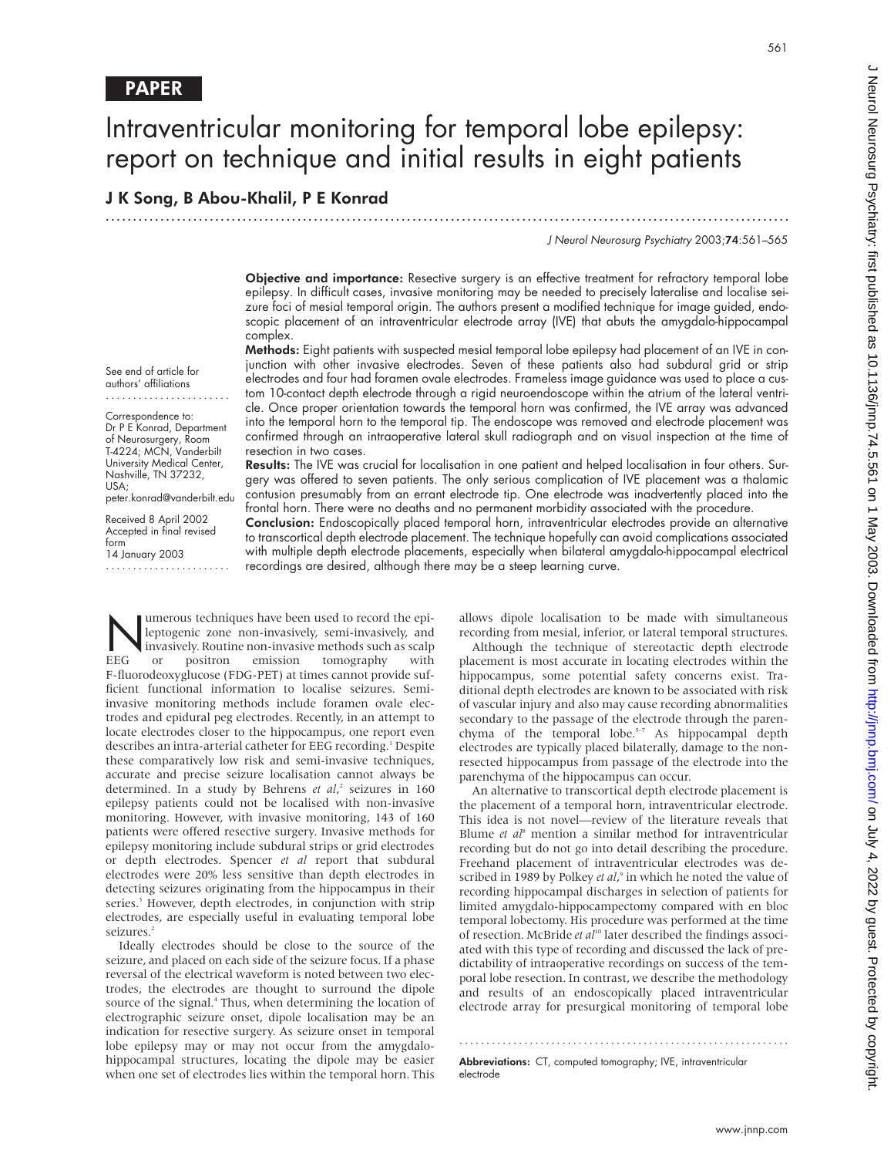See end of article for authors' affiliations ....................... Correspondence to: Dr P E Konrad, Department of Neurosurgery, Room T-4224; MCN, Vanderbilt University Medical Center, Nashville, TN 37232,

peter.konrad@vanderbilt.edu Received 8 April 2002 Accepted in final revised

USA;

form

14 January 2003 .......................

# Intraventricular monitoring for temporal lobe epilepsy: report on technique and initial results in eight patients

.............................................................................................................................

# J K Song, B Abou-Khalil, P E Konrad

J Neurol Neurosurg Psychiatry 2003;74:561–565

Objective and importance: Resective surgery is an effective treatment for refractory temporal lobe epilepsy. In difficult cases, invasive monitoring may be needed to precisely lateralise and localise seizure foci of mesial temporal origin. The authors present a modified technique for image guided, endoscopic placement of an intraventricular electrode array (IVE) that abuts the amygdalo-hippocampal complex.

Methods: Eight patients with suspected mesial temporal lobe epilepsy had placement of an IVE in conjunction with other invasive electrodes. Seven of these patients also had subdural grid or strip electrodes and four had foramen ovale electrodes. Frameless image guidance was used to place a custom 10-contact depth electrode through a rigid neuroendoscope within the atrium of the lateral ventricle. Once proper orientation towards the temporal horn was confirmed, the IVE array was advanced into the temporal horn to the temporal tip. The endoscope was removed and electrode placement was confirmed through an intraoperative lateral skull radiograph and on visual inspection at the time of resection in two cases.

Results: The IVE was crucial for localisation in one patient and helped localisation in four others. Surgery was offered to seven patients. The only serious complication of IVE placement was a thalamic contusion presumably from an errant electrode tip. One electrode was inadvertently placed into the frontal horn. There were no deaths and no permanent morbidity associated with the procedure.

Conclusion: Endoscopically placed temporal horn, intraventricular electrodes provide an alternative to transcortical depth electrode placement. The technique hopefully can avoid complications associated with multiple depth electrode placements, especially when bilateral amygdalo-hippocampal electrical recordings are desired, although there may be a steep learning curve.

Numerous techniques have been used to record the epi-<br>leptogenic zone non-invasively, semi-invasively, and<br>invasively. Routine non-invasive methods such as scalp<br>or positron emission tomography with leptogenic zone non-invasively, semi-invasively, and invasively. Routine non-invasive methods such as scalp EEG or positron emission tomography with F-fluorodeoxyglucose (FDG-PET) at times cannot provide sufficient functional information to localise seizures. Semiinvasive monitoring methods include foramen ovale electrodes and epidural peg electrodes. Recently, in an attempt to locate electrodes closer to the hippocampus, one report even describes an intra-arterial catheter for EEG recording.<sup>1</sup> Despite these comparatively low risk and semi-invasive techniques, accurate and precise seizure localisation cannot always be determined. In a study by Behrens *et al*,<sup>2</sup> seizures in 160<br>epilensy patients could not be localised with non-invasive epilepsy patients could not be localised with non-invasive monitoring. However, with invasive monitoring, 143 of 160 patients were offered resective surgery. Invasive methods for epilepsy monitoring include subdural strips or grid electrodes or depth electrodes. Spencer *et al* report that subdural electrodes were 20% less sensitive than depth electrodes in detecting seizures originating from the hippocampus in their series.<sup>3</sup> However, depth electrodes, in conjunction with strip electrodes, are especially useful in evaluating temporal lobe seizures.<sup>2</sup>

Ideally electrodes should be close to the source of the seizure, and placed on each side of the seizure focus. If a phase reversal of the electrical waveform is noted between two electrodes, the electrodes are thought to surround the dipole source of the signal.<sup>4</sup> Thus, when determining the location of electrographic seizure onset, dipole localisation may be an indication for resective surgery. As seizure onset in temporal lobe epilepsy may or may not occur from the amygdalohippocampal structures, locating the dipole may be easier when one set of electrodes lies within the temporal horn. This

allows dipole localisation to be made with simultaneous recording from mesial, inferior, or lateral temporal structures.

Although the technique of stereotactic depth electrode placement is most accurate in locating electrodes within the hippocampus, some potential safety concerns exist. Traditional depth electrodes are known to be associated with risk of vascular injury and also may cause recording abnormalities secondary to the passage of the electrode through the parenchyma of the temporal lobe. $5-7$  As hippocampal depth electrodes are typically placed bilaterally, damage to the nonresected hippocampus from passage of the electrode into the parenchyma of the hippocampus can occur.

An alternative to transcortical depth electrode placement is the placement of a temporal horn, intraventricular electrode. This idea is not novel—review of the literature reveals that Blume *et al*<sup>8</sup> mention a similar method for intraventricular recording but do not go into detail describing the procedure. Freehand placement of intraventricular electrodes was described in 1989 by Polkey *et al*,<sup>9</sup> in which he noted the value of<br>recording hippocampal discharges in selection of patients for recording hippocampal discharges in selection of patients for limited amygdalo-hippocampectomy compared with en bloc temporal lobectomy. His procedure was performed at the time of resection. McBride et al<sup>10</sup> later described the findings associated with this type of recording and discussed the lack of predictability of intraoperative recordings on success of the temporal lobe resection. In contrast, we describe the methodology and results of an endoscopically placed intraventricular electrode array for presurgical monitoring of temporal lobe

Abbreviations: CT, computed tomography; IVE, intraventricular electrode

.............................................................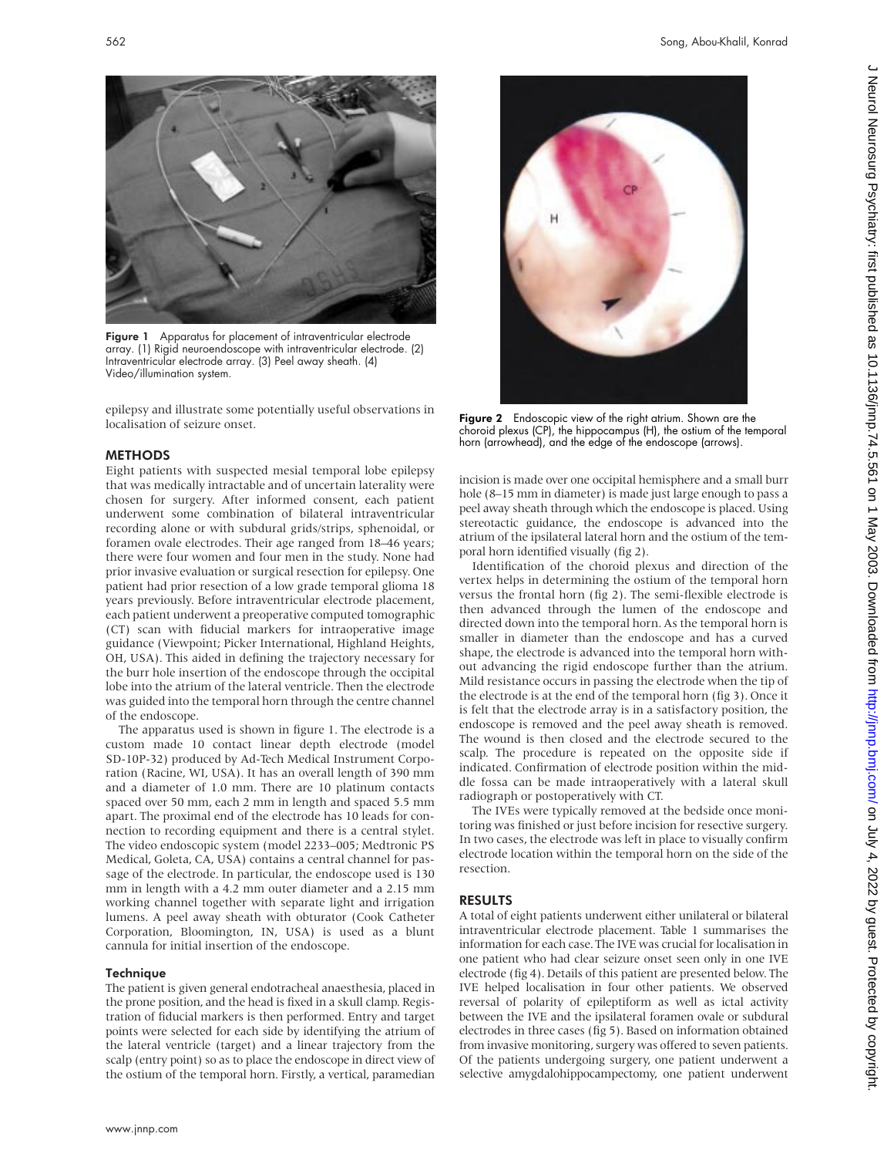

Figure 1 Apparatus for placement of intraventricular electrode array. (1) Rigid neuroendoscope with intraventricular electrode. (2) Intraventricular electrode array. (3) Peel away sheath. (4) Video/illumination system.

epilepsy and illustrate some potentially useful observations in localisation of seizure onset.

## **METHODS**

Eight patients with suspected mesial temporal lobe epilepsy that was medically intractable and of uncertain laterality were chosen for surgery. After informed consent, each patient underwent some combination of bilateral intraventricular recording alone or with subdural grids/strips, sphenoidal, or foramen ovale electrodes. Their age ranged from 18–46 years; there were four women and four men in the study. None had prior invasive evaluation or surgical resection for epilepsy. One patient had prior resection of a low grade temporal glioma 18 years previously. Before intraventricular electrode placement, each patient underwent a preoperative computed tomographic (CT) scan with fiducial markers for intraoperative image guidance (Viewpoint; Picker International, Highland Heights, OH, USA). This aided in defining the trajectory necessary for the burr hole insertion of the endoscope through the occipital lobe into the atrium of the lateral ventricle. Then the electrode was guided into the temporal horn through the centre channel of the endoscope.

The apparatus used is shown in figure 1. The electrode is a custom made 10 contact linear depth electrode (model SD-10P-32) produced by Ad-Tech Medical Instrument Corporation (Racine, WI, USA). It has an overall length of 390 mm and a diameter of 1.0 mm. There are 10 platinum contacts spaced over 50 mm, each 2 mm in length and spaced 5.5 mm apart. The proximal end of the electrode has 10 leads for connection to recording equipment and there is a central stylet. The video endoscopic system (model 2233–005; Medtronic PS Medical, Goleta, CA, USA) contains a central channel for passage of the electrode. In particular, the endoscope used is 130 mm in length with a 4.2 mm outer diameter and a 2.15 mm working channel together with separate light and irrigation lumens. A peel away sheath with obturator (Cook Catheter Corporation, Bloomington, IN, USA) is used as a blunt cannula for initial insertion of the endoscope.

#### **Technique**

The patient is given general endotracheal anaesthesia, placed in the prone position, and the head is fixed in a skull clamp. Registration of fiducial markers is then performed. Entry and target points were selected for each side by identifying the atrium of the lateral ventricle (target) and a linear trajectory from the scalp (entry point) so as to place the endoscope in direct view of the ostium of the temporal horn. Firstly, a vertical, paramedian



incision is made over one occipital hemisphere and a small burr hole (8–15 mm in diameter) is made just large enough to pass a peel away sheath through which the endoscope is placed. Using stereotactic guidance, the endoscope is advanced into the atrium of the ipsilateral lateral horn and the ostium of the temporal horn identified visually (fig 2).

Identification of the choroid plexus and direction of the vertex helps in determining the ostium of the temporal horn versus the frontal horn (fig 2). The semi-flexible electrode is then advanced through the lumen of the endoscope and directed down into the temporal horn. As the temporal horn is smaller in diameter than the endoscope and has a curved shape, the electrode is advanced into the temporal horn without advancing the rigid endoscope further than the atrium. Mild resistance occurs in passing the electrode when the tip of the electrode is at the end of the temporal horn (fig 3). Once it is felt that the electrode array is in a satisfactory position, the endoscope is removed and the peel away sheath is removed. The wound is then closed and the electrode secured to the scalp. The procedure is repeated on the opposite side if indicated. Confirmation of electrode position within the middle fossa can be made intraoperatively with a lateral skull radiograph or postoperatively with CT.

The IVEs were typically removed at the bedside once monitoring was finished or just before incision for resective surgery. In two cases, the electrode was left in place to visually confirm electrode location within the temporal horn on the side of the resection.

# RESULTS

A total of eight patients underwent either unilateral or bilateral intraventricular electrode placement. Table 1 summarises the information for each case. The IVE was crucial for localisation in one patient who had clear seizure onset seen only in one IVE electrode (fig 4). Details of this patient are presented below. The IVE helped localisation in four other patients. We observed reversal of polarity of epileptiform as well as ictal activity between the IVE and the ipsilateral foramen ovale or subdural electrodes in three cases (fig 5). Based on information obtained from invasive monitoring, surgery was offered to seven patients. Of the patients undergoing surgery, one patient underwent a selective amygdalohippocampectomy, one patient underwent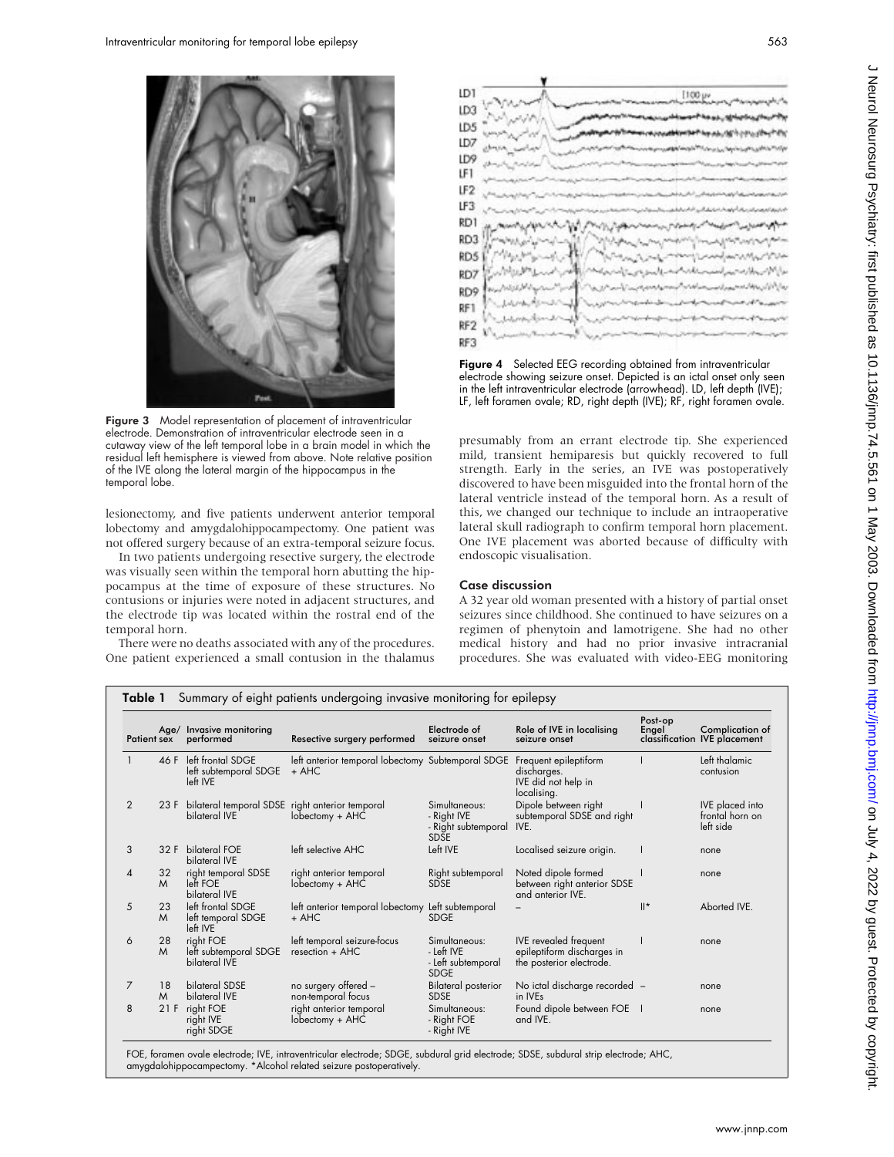

Figure 3 Model representation of placement of intraventricular electrode. Demonstration of intraventricular electrode seen in a cutaway view of the left temporal lobe in a brain model in which the residual left hemisphere is viewed from above. Note relative position of the IVE along the lateral margin of the hippocampus in the temporal lobe.

lesionectomy, and five patients underwent anterior temporal lobectomy and amygdalohippocampectomy. One patient was not offered surgery because of an extra-temporal seizure focus.

In two patients undergoing resective surgery, the electrode was visually seen within the temporal horn abutting the hippocampus at the time of exposure of these structures. No contusions or injuries were noted in adjacent structures, and the electrode tip was located within the rostral end of the temporal horn.

There were no deaths associated with any of the procedures. One patient experienced a small contusion in the thalamus



Figure 4 Selected EEG recording obtained from intraventricular electrode showing seizure onset. Depicted is an ictal onset only seen in the left intraventricular electrode (arrowhead). LD, left depth (IVE); LF, left foramen ovale; RD, right depth (IVE); RF, right foramen ovale.

presumably from an errant electrode tip. She experienced mild, transient hemiparesis but quickly recovered to full strength. Early in the series, an IVE was postoperatively discovered to have been misguided into the frontal horn of the lateral ventricle instead of the temporal horn. As a result of this, we changed our technique to include an intraoperative lateral skull radiograph to confirm temporal horn placement. One IVE placement was aborted because of difficulty with endoscopic visualisation.

## Case discussion

A 32 year old woman presented with a history of partial onset seizures since childhood. She continued to have seizures on a regimen of phenytoin and lamotrigene. She had no other medical history and had no prior invasive intracranial procedures. She was evaluated with video-EEG monitoring

| Patient sex    |         | Age/ Invasive monitoring<br>performed                            | Resective surgery performed                                  | Electrode of<br>seizure onset                                      | Role of IVE in localising<br>seizure onset                                             | Post-op<br>Engel | Complication of<br>classification IVE placement        |
|----------------|---------|------------------------------------------------------------------|--------------------------------------------------------------|--------------------------------------------------------------------|----------------------------------------------------------------------------------------|------------------|--------------------------------------------------------|
|                | 46 F    | left frontal SDGE<br>left subtemporal SDGE<br>left IVE           | left anterior temporal lobectomy Subtemporal SDGE<br>$+$ AHC |                                                                    | Frequent epileptiform<br>discharges.<br>IVE did not help in<br>localising.             |                  | Left thalamic<br>contusion                             |
| 2              | 23 F    | bilateral temporal SDSE right anterior temporal<br>bilateral IVE | lobectomy + AHC                                              | Simultaneous:<br>- Right IVE<br>- Right subtemporal<br><b>SDSE</b> | Dipole between right<br>subtemporal SDSE and right<br>IVE.                             |                  | <b>IVE</b> placed into<br>frontal horn on<br>left side |
| 3              | 32 F    | bilateral FOE<br>bilateral IVE                                   | left selective AHC                                           | Left IVE                                                           | Localised seizure origin.                                                              |                  | none                                                   |
| 4              | 32<br>M | right temporal SDSE<br>left FOE<br>bilateral IVE                 | right anterior temporal<br>lobectomy + AHC                   | Right subtemporal<br><b>SDSE</b>                                   | Noted dipole formed<br>between right anterior SDSE<br>and anterior IVE.                |                  | none                                                   |
| 5              | 23<br>M | left frontal SDGE<br>left temporal SDGE<br>left IVE              | left anterior temporal lobectomy Left subtemporal<br>$+$ AHC | <b>SDGE</b>                                                        |                                                                                        | $  ^*$           | Aborted IVE.                                           |
| 6              | 28<br>M | right FOE<br>left subtemporal SDGE<br>bilateral IVE              | left temporal seizure-focus<br>resection + AHC               | Simultaneous:<br>- Left IVE<br>- Left subtemporal<br><b>SDGE</b>   | <b>IVE</b> revealed freauent<br>epileptiform discharges in<br>the posterior electrode. |                  | none                                                   |
| $\overline{7}$ | 18<br>M | bilateral SDSE<br>bilateral IVE                                  | no surgery offered -<br>non-temporal focus                   | <b>Bilateral posterior</b><br><b>SDSE</b>                          | No ictal discharge recorded -<br>in IVE <sub>s</sub>                                   |                  | none                                                   |
| 8              | 21F     | right FOE<br>right IVE<br>right SDGE                             | right anterior temporal<br>lobectomy + AHC                   | Simultaneous:<br>- Right FOE<br>- Right IVE                        | Found dipole between FOE  <br>and IVE.                                                 |                  | none                                                   |

FOE, foramen ovale electrode; IVE, intraventricular electrode; SDGE, subdural grid electrode; SDSE, subdural strip electrode; AHC, amygdalohippocampectomy. \*Alcohol related seizure postoperatively.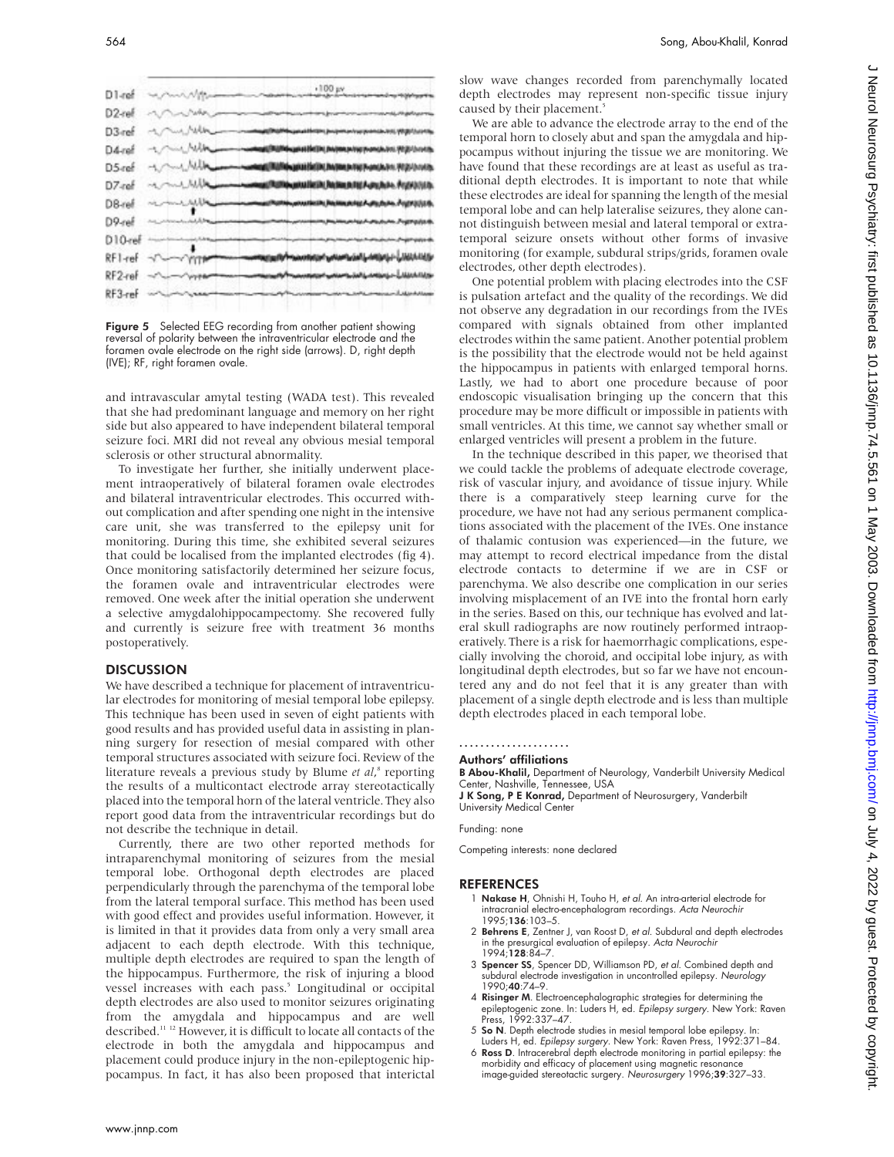



and intravascular amytal testing (WADA test). This revealed that she had predominant language and memory on her right side but also appeared to have independent bilateral temporal seizure foci. MRI did not reveal any obvious mesial temporal sclerosis or other structural abnormality.

To investigate her further, she initially underwent placement intraoperatively of bilateral foramen ovale electrodes and bilateral intraventricular electrodes. This occurred without complication and after spending one night in the intensive care unit, she was transferred to the epilepsy unit for monitoring. During this time, she exhibited several seizures that could be localised from the implanted electrodes (fig 4). Once monitoring satisfactorily determined her seizure focus, the foramen ovale and intraventricular electrodes were removed. One week after the initial operation she underwent a selective amygdalohippocampectomy. She recovered fully and currently is seizure free with treatment 36 months postoperatively.

#### **DISCUSSION**

We have described a technique for placement of intraventricular electrodes for monitoring of mesial temporal lobe epilepsy. This technique has been used in seven of eight patients with good results and has provided useful data in assisting in planning surgery for resection of mesial compared with other temporal structures associated with seizure foci. Review of the literature reveals a previous study by Blume *et al*, <sup>8</sup> reporting the results of a multicontact electrode array stereotactically placed into the temporal horn of the lateral ventricle. They also report good data from the intraventricular recordings but do not describe the technique in detail.

Currently, there are two other reported methods for intraparenchymal monitoring of seizures from the mesial temporal lobe. Orthogonal depth electrodes are placed perpendicularly through the parenchyma of the temporal lobe from the lateral temporal surface. This method has been used with good effect and provides useful information. However, it is limited in that it provides data from only a very small area adjacent to each depth electrode. With this technique, multiple depth electrodes are required to span the length of the hippocampus. Furthermore, the risk of injuring a blood vessel increases with each pass.<sup>5</sup> Longitudinal or occipital depth electrodes are also used to monitor seizures originating from the amygdala and hippocampus and are well described.<sup>11</sup> <sup>12</sup> However, it is difficult to locate all contacts of the electrode in both the amygdala and hippocampus and placement could produce injury in the non-epileptogenic hippocampus. In fact, it has also been proposed that interictal

slow wave changes recorded from parenchymally located depth electrodes may represent non-specific tissue injury caused by their placement.<sup>5</sup>

We are able to advance the electrode array to the end of the temporal horn to closely abut and span the amygdala and hippocampus without injuring the tissue we are monitoring. We have found that these recordings are at least as useful as traditional depth electrodes. It is important to note that while these electrodes are ideal for spanning the length of the mesial temporal lobe and can help lateralise seizures, they alone cannot distinguish between mesial and lateral temporal or extratemporal seizure onsets without other forms of invasive monitoring (for example, subdural strips/grids, foramen ovale electrodes, other depth electrodes).

One potential problem with placing electrodes into the CSF is pulsation artefact and the quality of the recordings. We did not observe any degradation in our recordings from the IVEs compared with signals obtained from other implanted electrodes within the same patient. Another potential problem is the possibility that the electrode would not be held against the hippocampus in patients with enlarged temporal horns. Lastly, we had to abort one procedure because of poor endoscopic visualisation bringing up the concern that this procedure may be more difficult or impossible in patients with small ventricles. At this time, we cannot say whether small or enlarged ventricles will present a problem in the future.

In the technique described in this paper, we theorised that we could tackle the problems of adequate electrode coverage, risk of vascular injury, and avoidance of tissue injury. While there is a comparatively steep learning curve for the procedure, we have not had any serious permanent complications associated with the placement of the IVEs. One instance of thalamic contusion was experienced—in the future, we may attempt to record electrical impedance from the distal electrode contacts to determine if we are in CSF or parenchyma. We also describe one complication in our series involving misplacement of an IVE into the frontal horn early in the series. Based on this, our technique has evolved and lateral skull radiographs are now routinely performed intraoperatively. There is a risk for haemorrhagic complications, especially involving the choroid, and occipital lobe injury, as with longitudinal depth electrodes, but so far we have not encountered any and do not feel that it is any greater than with placement of a single depth electrode and is less than multiple depth electrodes placed in each temporal lobe.

# .....................

### Authors' affiliations

B Abou-Khalil, Department of Neurology, Vanderbilt University Medical Center, Nashville, Tennessee, USA

J K Song, P E Konrad, Department of Neurosurgery, Vanderbilt University Medical Center

Funding: none

Competing interests: none declared

#### REFERENCES

- 1 Nakase H, Ohnishi H, Touho H, et al. An intra-arterial electrode for intracranial electro-encephalogram recordings. Acta Neurochir 1995;136:103–5.
- 2 Behrens E, Zentner J, van Roost D, et al. Subdural and depth electrodes in the presurgical evaluation of epilepsy. Acta Neurochir 1994;128:84–7.
- 3 Spencer SS, Spencer DD, Williamson PD, et al. Combined depth and subdural electrode investigation in uncontrolled epilepsy. Neurology 1990;40:74–9.
- 4 Risinger M. Electroencephalographic strategies for determining the epileptogenic zone. In: Luders H, ed. Epilepsy surgery. New York: Raven Press, 1992:337–47.
- 5 So N. Depth electrode studies in mesial temporal lobe epilepsy. In:
- Luders H, ed. Epilepsy surgery. New York: Raven Press, 1992:371–84. 6 Ross D. Intracerebral depth electrode monitoring in partial epilepsy: the morbidity and efficacy of placement using magnetic resonance image-guided stereotactic surgery. Neurosurgery 1996;39:327-33.